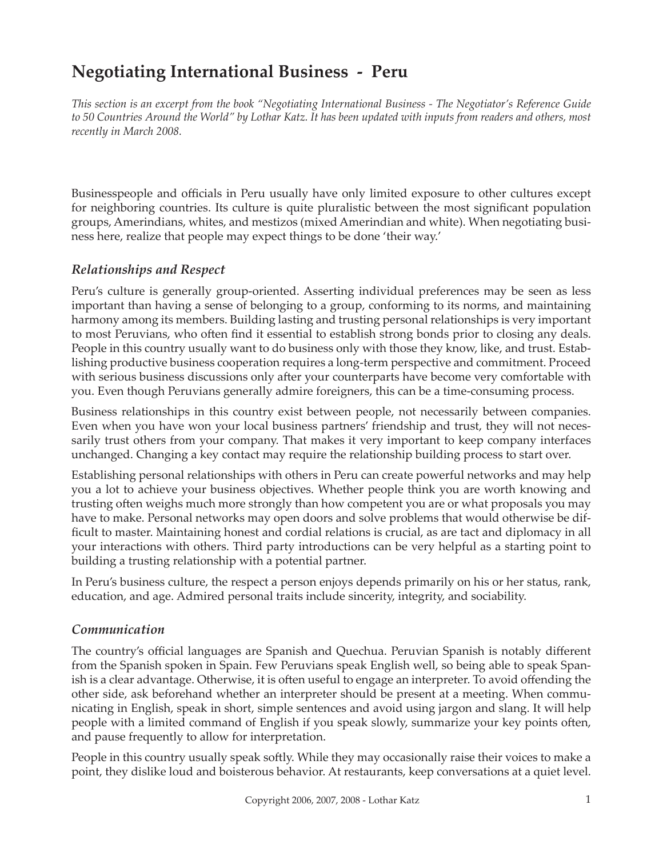# **Negotiating International Business - Peru**

*This section is an excerpt from the book "Negotiating International Business - The Negotiator's Reference Guide to 50 Countries Around the World" by Lothar Katz. It has been updated with inputs from readers and others, most recently in March 2008.*

Businesspeople and officials in Peru usually have only limited exposure to other cultures except for neighboring countries. Its culture is quite pluralistic between the most significant population groups, Amerindians, whites, and mestizos (mixed Amerindian and white). When negotiating business here, realize that people may expect things to be done 'their way.'

### *Relationships and Respect*

Peru's culture is generally group-oriented. Asserting individual preferences may be seen as less important than having a sense of belonging to a group, conforming to its norms, and maintaining harmony among its members. Building lasting and trusting personal relationships is very important to most Peruvians, who often find it essential to establish strong bonds prior to closing any deals. People in this country usually want to do business only with those they know, like, and trust. Establishing productive business cooperation requires a long-term perspective and commitment. Proceed with serious business discussions only after your counterparts have become very comfortable with you. Even though Peruvians generally admire foreigners, this can be a time-consuming process.

Business relationships in this country exist between people, not necessarily between companies. Even when you have won your local business partners' friendship and trust, they will not necessarily trust others from your company. That makes it very important to keep company interfaces unchanged. Changing a key contact may require the relationship building process to start over.

Establishing personal relationships with others in Peru can create powerful networks and may help you a lot to achieve your business objectives. Whether people think you are worth knowing and trusting often weighs much more strongly than how competent you are or what proposals you may have to make. Personal networks may open doors and solve problems that would otherwise be difficult to master. Maintaining honest and cordial relations is crucial, as are tact and diplomacy in all your interactions with others. Third party introductions can be very helpful as a starting point to building a trusting relationship with a potential partner.

In Peru's business culture, the respect a person enjoys depends primarily on his or her status, rank, education, and age. Admired personal traits include sincerity, integrity, and sociability.

#### *Communication*

The country's official languages are Spanish and Quechua. Peruvian Spanish is notably different from the Spanish spoken in Spain. Few Peruvians speak English well, so being able to speak Spanish is a clear advantage. Otherwise, it is often useful to engage an interpreter. To avoid offending the other side, ask beforehand whether an interpreter should be present at a meeting. When communicating in English, speak in short, simple sentences and avoid using jargon and slang. It will help people with a limited command of English if you speak slowly, summarize your key points often, and pause frequently to allow for interpretation.

People in this country usually speak softly. While they may occasionally raise their voices to make a point, they dislike loud and boisterous behavior. At restaurants, keep conversations at a quiet level.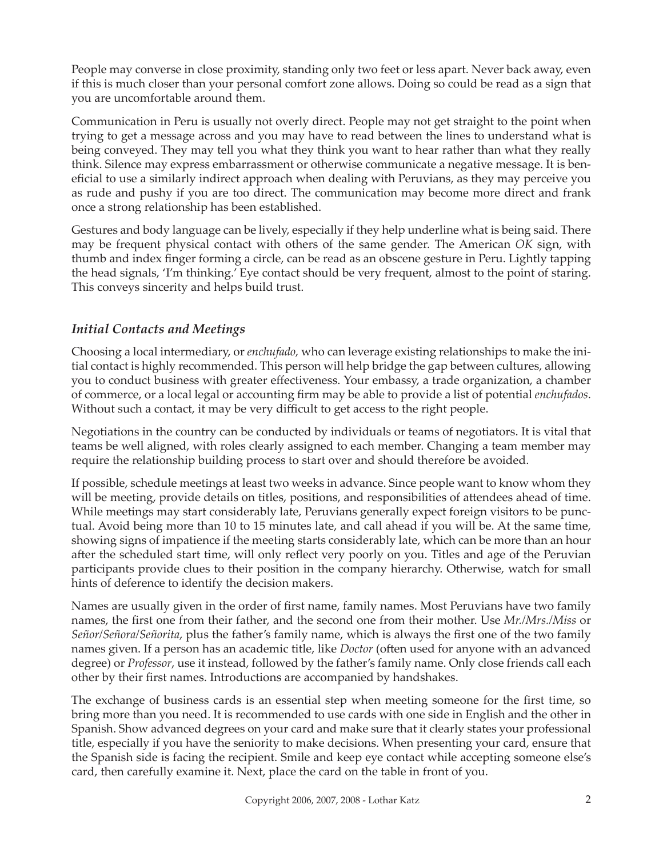People may converse in close proximity, standing only two feet or less apart. Never back away, even if this is much closer than your personal comfort zone allows. Doing so could be read as a sign that you are uncomfortable around them.

Communication in Peru is usually not overly direct. People may not get straight to the point when trying to get a message across and you may have to read between the lines to understand what is being conveyed. They may tell you what they think you want to hear rather than what they really think. Silence may express embarrassment or otherwise communicate a negative message. It is beneficial to use a similarly indirect approach when dealing with Peruvians, as they may perceive you as rude and pushy if you are too direct. The communication may become more direct and frank once a strong relationship has been established.

Gestures and body language can be lively, especially if they help underline what is being said. There may be frequent physical contact with others of the same gender. The American *OK* sign, with thumb and index finger forming a circle, can be read as an obscene gesture in Peru. Lightly tapping the head signals, 'I'm thinking.' Eye contact should be very frequent, almost to the point of staring. This conveys sincerity and helps build trust.

# *Initial Contacts and Meetings*

Choosing a local intermediary, or *enchufado ,* who can leverage existing relationships to make the initial contact is highly recommended. This person will help bridge the gap between cultures, allowing you to conduct business with greater effectiveness. Your embassy, a trade organization, a chamber of commerce, or a local legal or accounting firm may be able to provide a list of potential *enchufados*. Without such a contact, it may be very difficult to get access to the right people.

Negotiations in the country can be conducted by individuals or teams of negotiators. It is vital that teams be well aligned, with roles clearly assigned to each member. Changing a team member may require the relationship building process to start over and should therefore be avoided.

If possible, schedule meetings at least two weeks in advance. Since people want to know whom they will be meeting, provide details on titles, positions, and responsibilities of attendees ahead of time. While meetings may start considerably late, Peruvians generally expect foreign visitors to be punctual. Avoid being more than 10 to 15 minutes late, and call ahead if you will be. At the same time, showing signs of impatience if the meeting starts considerably late, which can be more than an hour after the scheduled start time, will only reflect very poorly on you. Titles and age of the Peruvian participants provide clues to their position in the company hierarchy. Otherwise, watch for small hints of deference to identify the decision makers.

Names are usually given in the order of first name, family names. Most Peruvians have two family names, the first one from their father, and the second one from their mother. Use *Mr./Mrs./Miss* or *Señor/Señora/Señorita,* plus the father's family name, which is always the first one of the two family names given. If a person has an academic title, like *Doctor* (often used for anyone with an advanced degree) or *Professor*, use it instead, followed by the father's family name. Only close friends call each other by their first names. Introductions are accompanied by handshakes.

The exchange of business cards is an essential step when meeting someone for the first time, so bring more than you need. It is recommended to use cards with one side in English and the other in Spanish. Show advanced degrees on your card and make sure that it clearly states your professional title, especially if you have the seniority to make decisions. When presenting your card, ensure that the Spanish side is facing the recipient. Smile and keep eye contact while accepting someone else's card, then carefully examine it. Next, place the card on the table in front of you.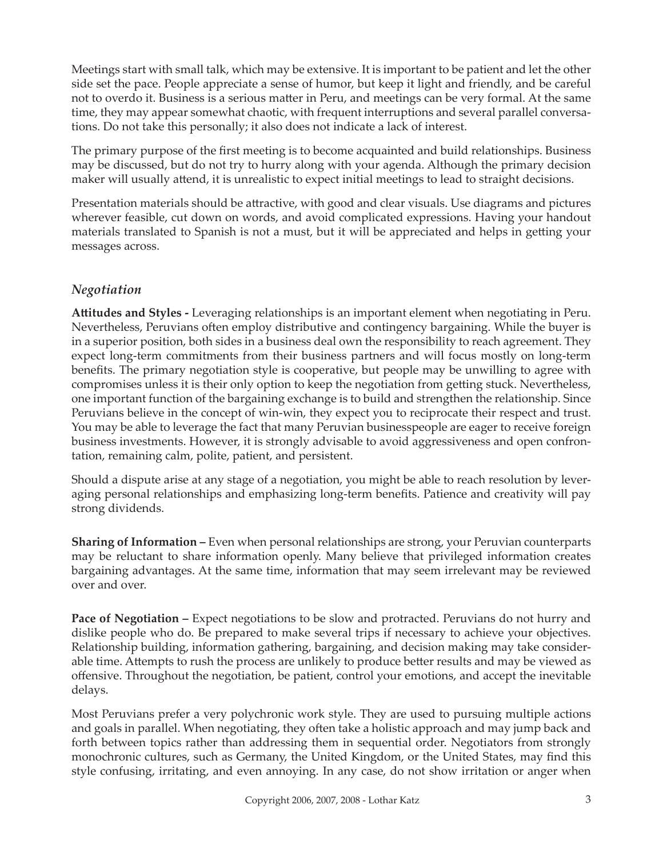Meetings start with small talk, which may be extensive. It is important to be patient and let the other side set the pace. People appreciate a sense of humor, but keep it light and friendly, and be careful not to overdo it. Business is a serious matter in Peru, and meetings can be very formal. At the same time, they may appear somewhat chaotic, with frequent interruptions and several parallel conversations. Do not take this personally; it also does not indicate a lack of interest.

The primary purpose of the first meeting is to become acquainted and build relationships. Business may be discussed, but do not try to hurry along with your agenda. Although the primary decision maker will usually attend, it is unrealistic to expect initial meetings to lead to straight decisions.

Presentation materials should be attractive, with good and clear visuals. Use diagrams and pictures wherever feasible, cut down on words, and avoid complicated expressions. Having your handout materials translated to Spanish is not a must, but it will be appreciated and helps in getting your messages across.

# *Negotiation*

**Att itudes and Styles -** Leveraging relationships is an important element when negotiating in Peru. Nevertheless, Peruvians often employ distributive and contingency bargaining. While the buyer is in a superior position, both sides in a business deal own the responsibility to reach agreement. They expect long-term commitments from their business partners and will focus mostly on long-term benefits. The primary negotiation style is cooperative, but people may be unwilling to agree with compromises unless it is their only option to keep the negotiation from getting stuck. Nevertheless, one important function of the bargaining exchange is to build and strengthen the relationship. Since Peruvians believe in the concept of win-win, they expect you to reciprocate their respect and trust. You may be able to leverage the fact that many Peruvian businesspeople are eager to receive foreign business investments. However, it is strongly advisable to avoid aggressiveness and open confrontation, remaining calm, polite, patient, and persistent.

Should a dispute arise at any stage of a negotiation, you might be able to reach resolution by leveraging personal relationships and emphasizing long-term benefits. Patience and creativity will pay strong dividends.

**Sharing of Information –** Even when personal relationships are strong, your Peruvian counterparts may be reluctant to share information openly. Many believe that privileged information creates bargaining advantages. At the same time, information that may seem irrelevant may be reviewed over and over.

**Pace of Negotiation –** Expect negotiations to be slow and protracted. Peruvians do not hurry and dislike people who do. Be prepared to make several trips if necessary to achieve your objectives. Relationship building, information gathering, bargaining, and decision making may take considerable time. Attempts to rush the process are unlikely to produce better results and may be viewed as offensive. Throughout the negotiation, be patient, control your emotions, and accept the inevitable delays.

Most Peruvians prefer a very polychronic work style. They are used to pursuing multiple actions and goals in parallel. When negotiating, they often take a holistic approach and may jump back and forth between topics rather than addressing them in sequential order. Negotiators from strongly monochronic cultures, such as Germany, the United Kingdom, or the United States, may find this style confusing, irritating, and even annoying. In any case, do not show irritation or anger when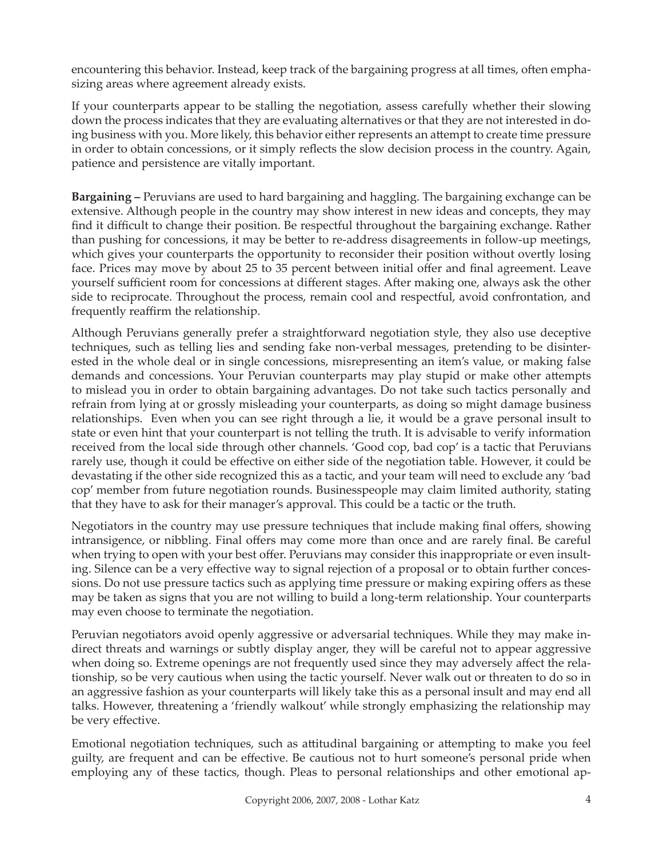encountering this behavior. Instead, keep track of the bargaining progress at all times, often emphasizing areas where agreement already exists.

If your counterparts appear to be stalling the negotiation, assess carefully whether their slowing down the process indicates that they are evaluating alternatives or that they are not interested in doing business with you. More likely, this behavior either represents an attempt to create time pressure in order to obtain concessions, or it simply reflects the slow decision process in the country. Again, patience and persistence are vitally important.

**Bargaining –** Peruvians are used to hard bargaining and haggling. The bargaining exchange can be extensive. Although people in the country may show interest in new ideas and concepts, they may find it difficult to change their position. Be respectful throughout the bargaining exchange. Rather than pushing for concessions, it may be better to re-address disagreements in follow-up meetings, which gives your counterparts the opportunity to reconsider their position without overtly losing face. Prices may move by about 25 to 35 percent between initial offer and final agreement. Leave yourself sufficient room for concessions at different stages. After making one, always ask the other side to reciprocate. Throughout the process, remain cool and respectful, avoid confrontation, and frequently reaffirm the relationship.

Although Peruvians generally prefer a straightforward negotiation style, they also use deceptive techniques, such as telling lies and sending fake non-verbal messages, pretending to be disinterested in the whole deal or in single concessions, misrepresenting an item's value, or making false demands and concessions. Your Peruvian counterparts may play stupid or make other attempts to mislead you in order to obtain bargaining advantages. Do not take such tactics personally and refrain from lying at or grossly misleading your counterparts, as doing so might damage business relationships. Even when you can see right through a lie, it would be a grave personal insult to state or even hint that your counterpart is not telling the truth. It is advisable to verify information received from the local side through other channels. 'Good cop, bad cop' is a tactic that Peruvians rarely use, though it could be effective on either side of the negotiation table. However, it could be devastating if the other side recognized this as a tactic, and your team will need to exclude any 'bad cop' member from future negotiation rounds. Businesspeople may claim limited authority, stating that they have to ask for their manager's approval. This could be a tactic or the truth.

Negotiators in the country may use pressure techniques that include making final offers, showing intransigence, or nibbling. Final offers may come more than once and are rarely final. Be careful when trying to open with your best offer. Peruvians may consider this inappropriate or even insulting. Silence can be a very effective way to signal rejection of a proposal or to obtain further concessions. Do not use pressure tactics such as applying time pressure or making expiring offers as these may be taken as signs that you are not willing to build a long-term relationship. Your counterparts may even choose to terminate the negotiation.

Peruvian negotiators avoid openly aggressive or adversarial techniques. While they may make indirect threats and warnings or subtly display anger, they will be careful not to appear aggressive when doing so. Extreme openings are not frequently used since they may adversely affect the relationship, so be very cautious when using the tactic yourself. Never walk out or threaten to do so in an aggressive fashion as your counterparts will likely take this as a personal insult and may end all talks. However, threatening a 'friendly walkout' while strongly emphasizing the relationship may be very effective.

Emotional negotiation techniques, such as attitudinal bargaining or attempting to make you feel guilty, are frequent and can be effective. Be cautious not to hurt someone's personal pride when employing any of these tactics, though. Pleas to personal relationships and other emotional ap-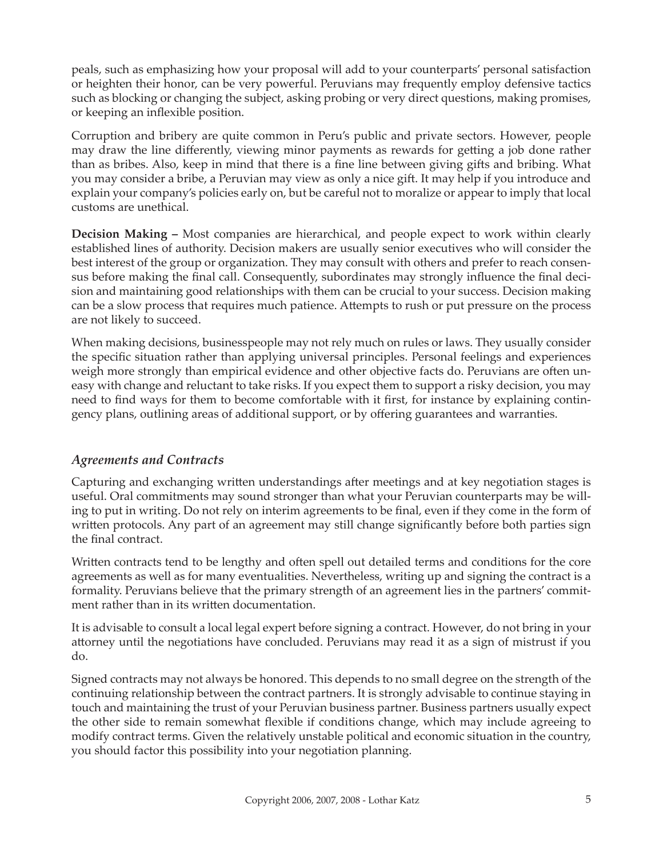peals, such as emphasizing how your proposal will add to your counterparts' personal satisfaction or heighten their honor, can be very powerful. Peruvians may frequently employ defensive tactics such as blocking or changing the subject, asking probing or very direct questions, making promises, or keeping an inflexible position.

Corruption and bribery are quite common in Peru's public and private sectors. However, people may draw the line differently, viewing minor payments as rewards for getting a job done rather than as bribes. Also, keep in mind that there is a fine line between giving gifts and bribing. What you may consider a bribe, a Peruvian may view as only a nice gift. It may help if you introduce and explain your company's policies early on, but be careful not to moralize or appear to imply that local customs are unethical.

**Decision Making –** Most companies are hierarchical, and people expect to work within clearly established lines of authority. Decision makers are usually senior executives who will consider the best interest of the group or organization. They may consult with others and prefer to reach consensus before making the final call. Consequently, subordinates may strongly influence the final decision and maintaining good relationships with them can be crucial to your success. Decision making can be a slow process that requires much patience. Attempts to rush or put pressure on the process are not likely to succeed.

When making decisions, businesspeople may not rely much on rules or laws. They usually consider the specific situation rather than applying universal principles. Personal feelings and experiences weigh more strongly than empirical evidence and other objective facts do. Peruvians are often uneasy with change and reluctant to take risks. If you expect them to support a risky decision, you may need to find ways for them to become comfortable with it first, for instance by explaining contingency plans, outlining areas of additional support, or by offering guarantees and warranties.

# *Agreements and Contracts*

Capturing and exchanging written understandings after meetings and at key negotiation stages is useful. Oral commitments may sound stronger than what your Peruvian counterparts may be willing to put in writing. Do not rely on interim agreements to be final, even if they come in the form of written protocols. Any part of an agreement may still change significantly before both parties sign the final contract.

Written contracts tend to be lengthy and often spell out detailed terms and conditions for the core agreements as well as for many eventualities. Nevertheless, writing up and signing the contract is a formality. Peruvians believe that the primary strength of an agreement lies in the partners' commitment rather than in its written documentation.

It is advisable to consult a local legal expert before signing a contract. However, do not bring in your attorney until the negotiations have concluded. Peruvians may read it as a sign of mistrust if you do.

Signed contracts may not always be honored. This depends to no small degree on the strength of the continuing relationship between the contract partners. It is strongly advisable to continue staying in touch and maintaining the trust of your Peruvian business partner. Business partners usually expect the other side to remain somewhat flexible if conditions change, which may include agreeing to modify contract terms. Given the relatively unstable political and economic situation in the country, you should factor this possibility into your negotiation planning.